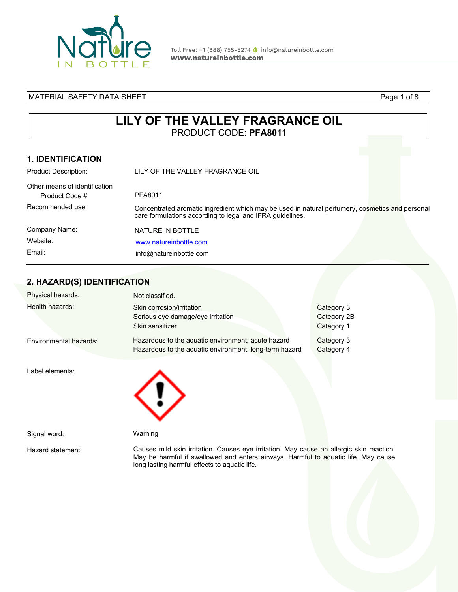

Toll Free: +1 (888) 755-5274 ● info@natureinbottle.com www.natureinbottle.com

### MATERIAL SAFETY DATA SHEET **Page 1 of 8** and 20 and 20 and 20 and 20 and 20 and 20 and 20 and 20 and 20 and 20 and 20 and 20 and 20 and 20 and 20 and 20 and 20 and 20 and 20 and 20 and 20 and 20 and 20 and 20 and 20 and 20

# **LILY OF THE VALLEY FRAGRANCE OIL** PRODUCT CODE: **PFA8011**

### **1. IDENTIFICATION**

| <b>Product Description:</b>                      | LILY OF THE VALLEY FRAGRANCE OIL                                                                                                                             |  |
|--------------------------------------------------|--------------------------------------------------------------------------------------------------------------------------------------------------------------|--|
| Other means of identification<br>Product Code #: | PFA8011                                                                                                                                                      |  |
| Recommended use:                                 | Concentrated aromatic ingredient which may be used in natural perfumery, cosmetics and personal<br>care formulations according to legal and IFRA guidelines. |  |
| Company Name:                                    | NATURE IN BOTTLE                                                                                                                                             |  |
| Website:                                         | www.natureinbottle.com                                                                                                                                       |  |
| Email:                                           | info@natureinbottle.com                                                                                                                                      |  |

# **2. HAZARD(S) IDENTIFICATION**

| Physical hazards:      | Not classified.                                                                                              |                                         |
|------------------------|--------------------------------------------------------------------------------------------------------------|-----------------------------------------|
| Health hazards:        | Skin corrosion/irritation<br>Serious eye damage/eye irritation<br>Skin sensitizer                            | Category 3<br>Category 2B<br>Category 1 |
| Environmental hazards: | Hazardous to the aquatic environment, acute hazard<br>Hazardous to the aquatic environment, long-term hazard | Category 3<br>Category 4                |
| Label elements:        |                                                                                                              |                                         |
| Signal word:           | Warning                                                                                                      |                                         |
| Hazard statement:      | Causes mild skin irritation. Causes eye irritation. May cause an allergic skin reaction.                     |                                         |

long lasting harmful effects to aquatic life.

May be harmful if swallowed and enters airways. Harmful to aquatic life. May cause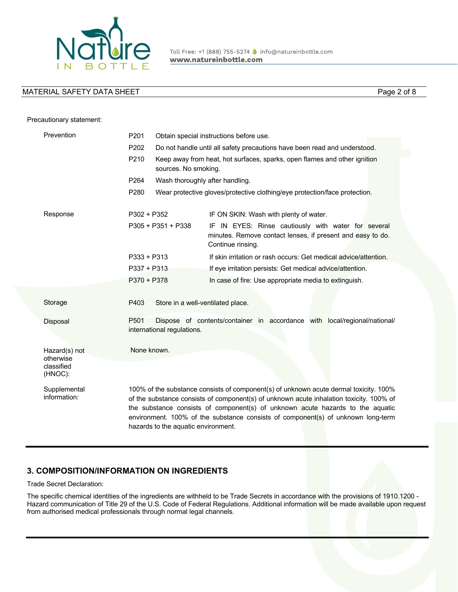

Precautionary statement:

Page 2 of 8

### Prevention Response Storage Disposal Hazard(s) not otherwise classified (HNOC): **Supplemental** information: P201 Obtain special instructions before use. P202 Do not handle until all safety precautions have been read and understood. P210 Keep away from heat, hot surfaces, sparks, open flames and other ignition sources. No smoking. P264 Wash thoroughly after handling. P280 Wear protective gloves/protective clothing/eye protection/face protection. P302 + P352 IF ON SKIN: Wash with plenty of water. P305 + P351 + P338 IF IN EYES: Rinse cautiously with water for several minutes. Remove contact lenses, if present and easy to do. Continue rinsing. P333 + P313 If skin irritation or rash occurs: Get medical advice/attention. P337 + P313 If eye irritation persists: Get medical advice/attention. P370 + P378 In case of fire: Use appropriate media to extinguish. P403 Store in a well-ventilated place. P501 Dispose of contents/container in accordance with local/regional/national/ international regulations. None known. 100% of the substance consists of component(s) of unknown acute dermal toxicity. 100% of the substance consists of component(s) of unknown acute inhalation toxicity. 100% of the substance consists of component(s) of unknown acute hazards to the aquatic environment. 100% of the substance consists of component(s) of unknown long-term hazards to the aquatic environment.

## **3. COMPOSITION/INFORMATION ON INGREDIENTS**

Trade Secret Declaration:

The specific chemical identities of the ingredients are withheld to be Trade Secrets in accordance with the provisions of 1910.1200 - Hazard communication of Title 29 of the U.S. Code of Federal Regulations. Additional information will be made available upon request from authorised medical professionals through normal legal channels.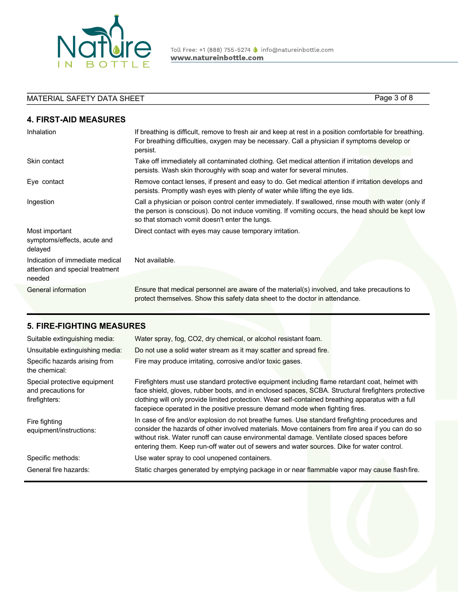

Toll Free: +1 (888) 755-5274 | info@natureinbottle.com www.natureinbottle.com

# MATERIAL SAFETY DATA SHEET **Page 3 of 8** Page 3 of 8

**4. FIRST-AID MEASURES**

| Inhalation                                                                   | If breathing is difficult, remove to fresh air and keep at rest in a position comfortable for breathing.<br>For breathing difficulties, oxygen may be necessary. Call a physician if symptoms develop or<br>persist.                                        |
|------------------------------------------------------------------------------|-------------------------------------------------------------------------------------------------------------------------------------------------------------------------------------------------------------------------------------------------------------|
| Skin contact                                                                 | Take off immediately all contaminated clothing. Get medical attention if irritation develops and<br>persists. Wash skin thoroughly with soap and water for several minutes.                                                                                 |
| Eye contact                                                                  | Remove contact lenses, if present and easy to do. Get medical attention if irritation develops and<br>persists. Promptly wash eyes with plenty of water while lifting the eye lids.                                                                         |
| Ingestion                                                                    | Call a physician or poison control center immediately. If swallowed, rinse mouth with water (only if<br>the person is conscious). Do not induce vomiting. If vomiting occurs, the head should be kept low<br>so that stomach vomit doesn't enter the lungs. |
| Most important<br>symptoms/effects, acute and<br>delayed                     | Direct contact with eyes may cause temporary irritation.                                                                                                                                                                                                    |
| Indication of immediate medical<br>attention and special treatment<br>needed | Not available.                                                                                                                                                                                                                                              |
| General information                                                          | Ensure that medical personnel are aware of the material(s) involved, and take precautions to<br>protect themselves. Show this safety data sheet to the doctor in attendance.                                                                                |

## **5. FIRE-FIGHTING MEASURES**

| Suitable extinguishing media:                                        | Water spray, fog, CO2, dry chemical, or alcohol resistant foam.                                                                                                                                                                                                                                                                                                                                 |
|----------------------------------------------------------------------|-------------------------------------------------------------------------------------------------------------------------------------------------------------------------------------------------------------------------------------------------------------------------------------------------------------------------------------------------------------------------------------------------|
| Unsuitable extinguishing media:                                      | Do not use a solid water stream as it may scatter and spread fire.                                                                                                                                                                                                                                                                                                                              |
| Specific hazards arising from<br>the chemical:                       | Fire may produce irritating, corrosive and/or toxic gases.                                                                                                                                                                                                                                                                                                                                      |
| Special protective equipment<br>and precautions for<br>firefighters: | Firefighters must use standard protective equipment including flame retardant coat, helmet with<br>face shield, gloves, rubber boots, and in enclosed spaces, SCBA. Structural firefighters protective<br>clothing will only provide limited protection. Wear self-contained breathing apparatus with a full<br>facepiece operated in the positive pressure demand mode when fighting fires.    |
| Fire fighting<br>equipment/instructions:                             | In case of fire and/or explosion do not breathe fumes. Use standard firefighting procedures and<br>consider the hazards of other involved materials. Move containers from fire area if you can do so<br>without risk. Water runoff can cause environmental damage. Ventilate closed spaces before<br>entering them. Keep run-off water out of sewers and water sources. Dike for water control. |
| Specific methods:                                                    | Use water spray to cool unopened containers.                                                                                                                                                                                                                                                                                                                                                    |
| General fire hazards:                                                | Static charges generated by emptying package in or near flammable vapor may cause flash fire.                                                                                                                                                                                                                                                                                                   |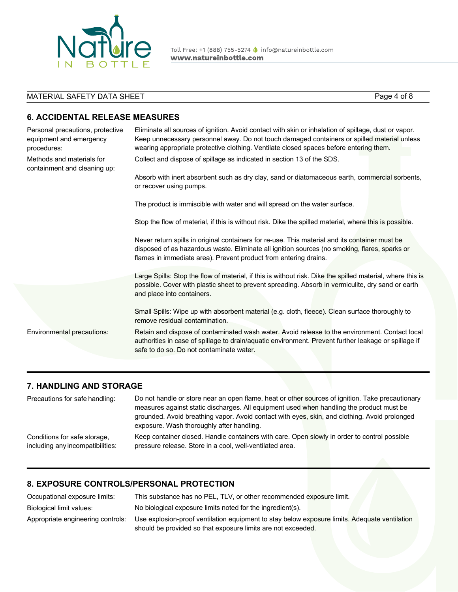

Toll Free: +1 (888) 755-5274 ● info@natureinbottle.com www.natureinbottle.com

# MATERIAL SAFETY DATA SHEET Page 4 of 8

## **6. ACCIDENTAL RELEASE MEASURES**

| Personal precautions, protective<br>equipment and emergency<br>procedures: | Eliminate all sources of ignition. Avoid contact with skin or inhalation of spillage, dust or vapor.<br>Keep unnecessary personnel away. Do not touch damaged containers or spilled material unless<br>wearing appropriate protective clothing. Ventilate closed spaces before entering them. |
|----------------------------------------------------------------------------|-----------------------------------------------------------------------------------------------------------------------------------------------------------------------------------------------------------------------------------------------------------------------------------------------|
| Methods and materials for<br>containment and cleaning up:                  | Collect and dispose of spillage as indicated in section 13 of the SDS.                                                                                                                                                                                                                        |
|                                                                            | Absorb with inert absorbent such as dry clay, sand or diatomaceous earth, commercial sorbents,<br>or recover using pumps.                                                                                                                                                                     |
|                                                                            | The product is immiscible with water and will spread on the water surface.                                                                                                                                                                                                                    |
|                                                                            | Stop the flow of material, if this is without risk. Dike the spilled material, where this is possible.                                                                                                                                                                                        |
|                                                                            | Never return spills in original containers for re-use. This material and its container must be<br>disposed of as hazardous waste. Eliminate all ignition sources (no smoking, flares, sparks or<br>flames in immediate area). Prevent product from entering drains.                           |
|                                                                            | Large Spills: Stop the flow of material, if this is without risk. Dike the spilled material, where this is<br>possible. Cover with plastic sheet to prevent spreading. Absorb in vermiculite, dry sand or earth<br>and place into containers.                                                 |
|                                                                            | Small Spills: Wipe up with absorbent material (e.g. cloth, fleece). Clean surface thoroughly to<br>remove residual contamination.                                                                                                                                                             |
| Environmental precautions:                                                 | Retain and dispose of contaminated wash water. Avoid release to the environment. Contact local<br>authorities in case of spillage to drain/aquatic environment. Prevent further leakage or spillage if<br>safe to do so. Do not contaminate water.                                            |
|                                                                            |                                                                                                                                                                                                                                                                                               |

### **7. HANDLING AND STORAGE**

| Precautions for safe handling:                                   | Do not handle or store near an open flame, heat or other sources of ignition. Take precautionary<br>measures against static discharges. All equipment used when handling the product must be |
|------------------------------------------------------------------|----------------------------------------------------------------------------------------------------------------------------------------------------------------------------------------------|
|                                                                  | grounded. Avoid breathing vapor. Avoid contact with eyes, skin, and clothing. Avoid prolonged<br>exposure. Wash thoroughly after handling.                                                   |
| Conditions for safe storage,<br>including any incompatibilities: | Keep container closed. Handle containers with care. Open slowly in order to control possible<br>pressure release. Store in a cool, well-ventilated area.                                     |

# **8. EXPOSURE CONTROLS/PERSONAL PROTECTION**

| Occupational exposure limits:     | This substance has no PEL, TLV, or other recommended exposure limit.                          |
|-----------------------------------|-----------------------------------------------------------------------------------------------|
| Biological limit values:          | No biological exposure limits noted for the ingredient(s).                                    |
| Appropriate engineering controls: | Use explosion-proof ventilation equipment to stay below exposure limits. Adequate ventilation |
|                                   | should be provided so that exposure limits are not exceeded.                                  |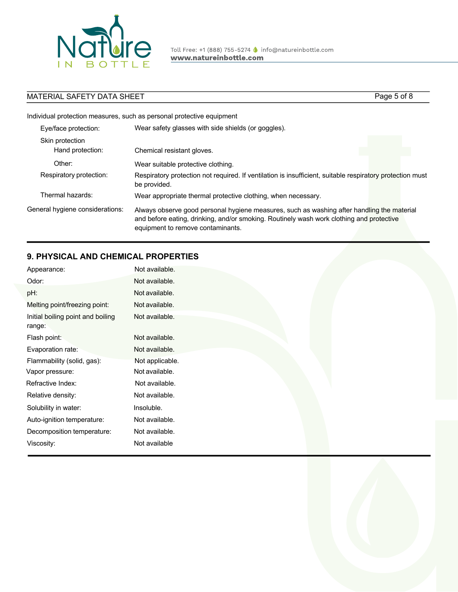

Toll Free: +1 (888) 755-5274 | info@natureinbottle.com www.natureinbottle.com

# MATERIAL SAFETY DATA SHEET Page 5 of 8

Individual protection measures, such as personal protective equipment

| Eye/face protection:                | Wear safety glasses with side shields (or goggles).                                                                                                                                                                         |
|-------------------------------------|-----------------------------------------------------------------------------------------------------------------------------------------------------------------------------------------------------------------------------|
| Skin protection<br>Hand protection: | Chemical resistant gloves.                                                                                                                                                                                                  |
| Other:                              | Wear suitable protective clothing.                                                                                                                                                                                          |
| Respiratory protection:             | Respiratory protection not required. If ventilation is insufficient, suitable respiratory protection must<br>be provided.                                                                                                   |
| Thermal hazards:                    | Wear appropriate thermal protective clothing, when necessary.                                                                                                                                                               |
| General hygiene considerations:     | Always observe good personal hygiene measures, such as washing after handling the material<br>and before eating, drinking, and/or smoking. Routinely wash work clothing and protective<br>equipment to remove contaminants. |

# **9. PHYSICAL AND CHEMICAL PROPERTIES**

| Appearance:                                 | Not available.  |
|---------------------------------------------|-----------------|
| Odor:                                       | Not available.  |
| pH:                                         | Not available.  |
| Melting point/freezing point:               | Not available.  |
| Initial boiling point and boiling<br>range: | Not available.  |
| Flash point:                                | Not available.  |
| Evaporation rate:                           | Not available.  |
| Flammability (solid, gas):                  | Not applicable. |
| Vapor pressure:                             | Not available.  |
| Refractive Index:                           | Not available.  |
| Relative density:                           | Not available.  |
| Solubility in water:                        | Insoluble.      |
| Auto-ignition temperature:                  | Not available.  |
| Decomposition temperature:                  | Not available.  |
| Viscosity:                                  | Not available   |

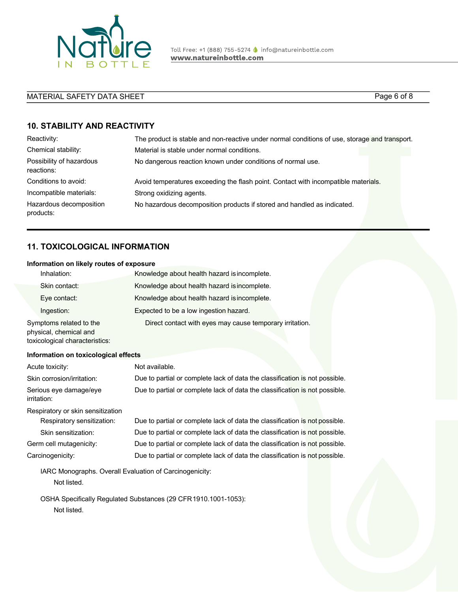

Toll Free: +1 (888) 755-5274 ● info@natureinbottle.com www.natureinbottle.com

# MATERIAL SAFETY DATA SHEET PAGE 1 2007 1 2008 1 2009 1 2009 1 2009 1 2009 1 2009 1 2009 1 2009 1 2009 1 2009 1 2009 1 2009 1 2009 1 2009 1 2009 1 2009 1 2009 1 2009 1 2009 1 2009 1 2009 1 2009 1 2009 1 2009 1 2009 1 2009 1

## **10. STABILITY AND REACTIVITY**

| Reactivity:                            | The product is stable and non-reactive under normal conditions of use, storage and transport. |
|----------------------------------------|-----------------------------------------------------------------------------------------------|
| Chemical stability:                    | Material is stable under normal conditions.                                                   |
| Possibility of hazardous<br>reactions: | No dangerous reaction known under conditions of normal use.                                   |
| Conditions to avoid:                   | Avoid temperatures exceeding the flash point. Contact with incompatible materials.            |
| Incompatible materials:                | Strong oxidizing agents.                                                                      |
| Hazardous decomposition<br>products:   | No hazardous decomposition products if stored and handled as indicated.                       |

## **11. TOXICOLOGICAL INFORMATION**

#### **Information on likely routes of exposure**

| Inhalation:                                      | Knowledge about health hazard is incomplete.             |
|--------------------------------------------------|----------------------------------------------------------|
| Skin contact:                                    | Knowledge about health hazard is incomplete.             |
| Eye contact:                                     | Knowledge about health hazard is incomplete.             |
| Ingestion:                                       | Expected to be a low ingestion hazard.                   |
| Symptoms related to the<br>physical abomical and | Direct contact with eyes may cause temporary irritation. |

physical, chemical and toxicological characteristics:

#### **Information on toxicological effects**

| Acute toxicity:                                         | Not available.                                                              |
|---------------------------------------------------------|-----------------------------------------------------------------------------|
| Skin corrosion/irritation:                              | Due to partial or complete lack of data the classification is not possible. |
| Serious eye damage/eye<br>irritation:                   | Due to partial or complete lack of data the classification is not possible. |
| Respiratory or skin sensitization                       |                                                                             |
| Respiratory sensitization:                              | Due to partial or complete lack of data the classification is not possible. |
| Skin sensitization:                                     | Due to partial or complete lack of data the classification is not possible. |
| Germ cell mutagenicity:                                 | Due to partial or complete lack of data the classification is not possible. |
| Carcinogenicity:                                        | Due to partial or complete lack of data the classification is not possible. |
| IARC Monographs. Overall Evaluation of Carcinogenicity: |                                                                             |
| Not listed.                                             |                                                                             |

OSHA Specifically Regulated Substances (29 CFR1910.1001-1053): Not listed.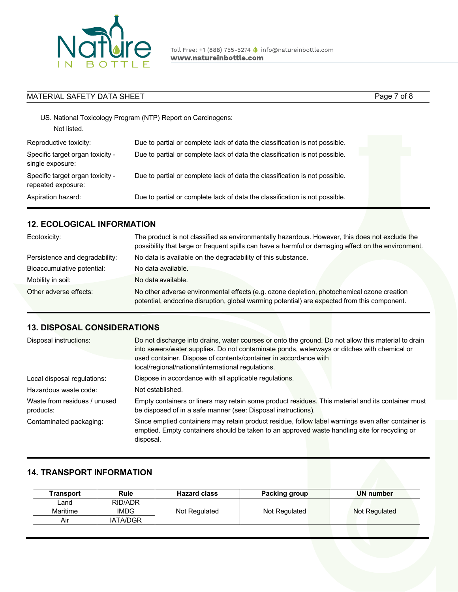

| <b>MATERIAL SAFETY DATA SHEET</b>                      |                                                                             | Page 7 of 8 |  |
|--------------------------------------------------------|-----------------------------------------------------------------------------|-------------|--|
| Not listed.                                            | US. National Toxicology Program (NTP) Report on Carcinogens:                |             |  |
| Reproductive toxicity:                                 | Due to partial or complete lack of data the classification is not possible. |             |  |
| Specific target organ toxicity -<br>single exposure:   | Due to partial or complete lack of data the classification is not possible. |             |  |
| Specific target organ toxicity -<br>repeated exposure: | Due to partial or complete lack of data the classification is not possible. |             |  |
| Aspiration hazard:                                     | Due to partial or complete lack of data the classification is not possible. |             |  |

## **12. ECOLOGICAL INFORMATION**

| Ecotoxicity:                   | The product is not classified as environmentally hazardous. However, this does not exclude the<br>possibility that large or frequent spills can have a harmful or damaging effect on the environment. |
|--------------------------------|-------------------------------------------------------------------------------------------------------------------------------------------------------------------------------------------------------|
| Persistence and degradability: | No data is available on the degradability of this substance.                                                                                                                                          |
| Bioaccumulative potential:     | No data available.                                                                                                                                                                                    |
| Mobility in soil:              | No data available.                                                                                                                                                                                    |
| Other adverse effects:         | No other adverse environmental effects (e.g. ozone depletion, photochemical ozone creation<br>potential, endocrine disruption, global warming potential) are expected from this component.            |

#### **13. DISPOSAL CONSIDERATIONS**

| Disposal instructions:                    | Do not discharge into drains, water courses or onto the ground. Do not allow this material to drain<br>into sewers/water supplies. Do not contaminate ponds, waterways or ditches with chemical or<br>used container. Dispose of contents/container in accordance with<br>local/regional/national/international regulations. |
|-------------------------------------------|------------------------------------------------------------------------------------------------------------------------------------------------------------------------------------------------------------------------------------------------------------------------------------------------------------------------------|
| Local disposal regulations:               | Dispose in accordance with all applicable regulations.                                                                                                                                                                                                                                                                       |
| Hazardous waste code:                     | Not established.                                                                                                                                                                                                                                                                                                             |
| Waste from residues / unused<br>products: | Empty containers or liners may retain some product residues. This material and its container must<br>be disposed of in a safe manner (see: Disposal instructions).                                                                                                                                                           |
| Contaminated packaging:                   | Since emptied containers may retain product residue, follow label warnings even after container is<br>emptied. Empty containers should be taken to an approved waste handling site for recycling or<br>disposal.                                                                                                             |

### **14. TRANSPORT INFORMATION**

| Transport | <b>Rule</b>     | <b>Hazard class</b> | <b>Packing group</b> | <b>UN</b> number |
|-----------|-----------------|---------------------|----------------------|------------------|
| Land      | RID/ADR         |                     |                      |                  |
| Maritime  | <b>IMDG</b>     | Not Regulated       | Not Regulated        | Not Regulated    |
| Air       | <b>IATA/DGR</b> |                     |                      |                  |